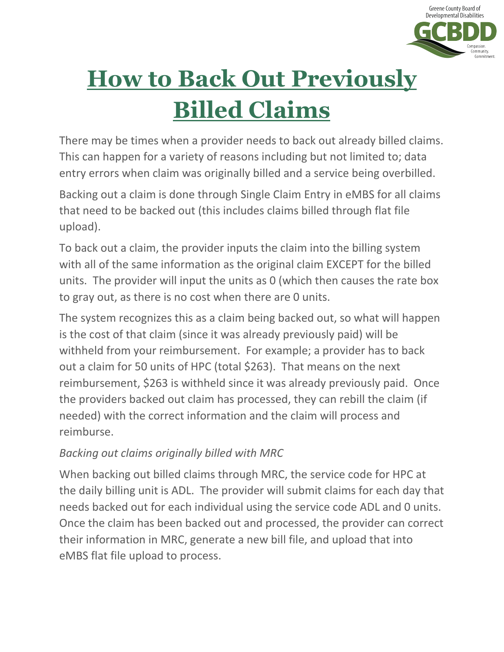

# **How to Back Out Previously Billed Claims**

There may be times when a provider needs to back out already billed claims. This can happen for a variety of reasons including but not limited to; data entry errors when claim was originally billed and a service being overbilled.

Backing out a claim is done through Single Claim Entry in eMBS for all claims that need to be backed out (this includes claims billed through flat file upload).

To back out a claim, the provider inputs the claim into the billing system with all of the same information as the original claim EXCEPT for the billed units. The provider will input the units as 0 (which then causes the rate box to gray out, as there is no cost when there are 0 units.

The system recognizes this as a claim being backed out, so what will happen is the cost of that claim (since it was already previously paid) will be withheld from your reimbursement. For example; a provider has to back out a claim for 50 units of HPC (total \$263). That means on the next reimbursement, \$263 is withheld since it was already previously paid. Once the providers backed out claim has processed, they can rebill the claim (if needed) with the correct information and the claim will process and reimburse.

#### *Backing out claims originally billed with MRC*

When backing out billed claims through MRC, the service code for HPC at the daily billing unit is ADL. The provider will submit claims for each day that needs backed out for each individual using the service code ADL and 0 units. Once the claim has been backed out and processed, the provider can correct their information in MRC, generate a new bill file, and upload that into eMBS flat file upload to process.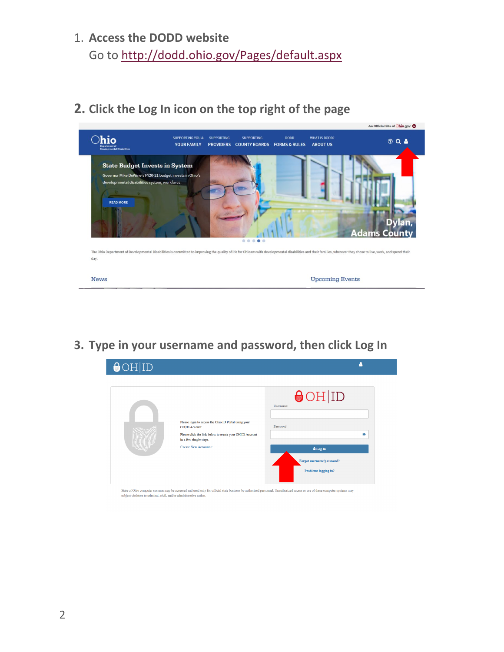## 1. **Access the DODD website** Go to<http://dodd.ohio.gov/Pages/default.aspx>

**2. Click the Log In icon on the top right of the page**



**3. Type in your username and password, then click Log In**



State of Ohio computer systems may be accessed and used only for official state business by authorized personnel. Unauthorized access or use of these computer systems may subject violators to criminal, civil, and/or admini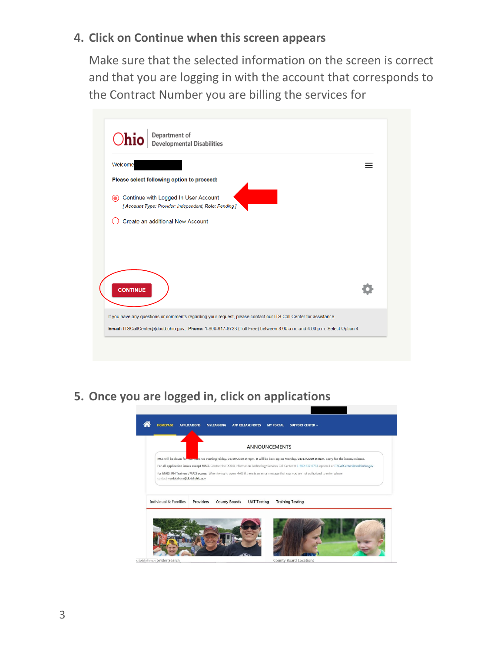#### **4. Click on Continue when this screen appears**

Make sure that the selected information on the screen is correct and that you are logging in with the account that corresponds to the Contract Number you are billing the services for

|                                                                                                | Department of<br>Developmental Disabilities                                                                      |  |
|------------------------------------------------------------------------------------------------|------------------------------------------------------------------------------------------------------------------|--|
| Welcome                                                                                        |                                                                                                                  |  |
| Please select following option to proceed:                                                     |                                                                                                                  |  |
| Continue with Logged In User Account<br>[ Account Type: Provider: Independent, Role: Pending ] |                                                                                                                  |  |
| Create an additional New Account                                                               |                                                                                                                  |  |
|                                                                                                |                                                                                                                  |  |
|                                                                                                |                                                                                                                  |  |
|                                                                                                |                                                                                                                  |  |
|                                                                                                |                                                                                                                  |  |
| <b>CONTINUE</b>                                                                                |                                                                                                                  |  |
|                                                                                                |                                                                                                                  |  |
|                                                                                                | If you have any questions or comments regarding your request, please contact our ITS Call Center for assistance. |  |
|                                                                                                |                                                                                                                  |  |

**5. Once you are logged in, click on applications**

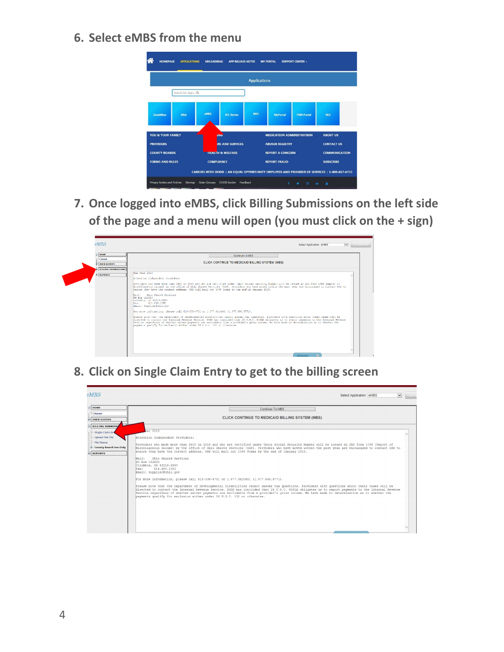**6. Select eMBS from the menu**



**7. Once logged into eMBS, click Billing Submissions on the left side of the page and a menu will open (you must click on the + sign)**

![](_page_3_Picture_3.jpeg)

**8. Click on Single Claim Entry to get to the billing screen**

![](_page_3_Picture_5.jpeg)